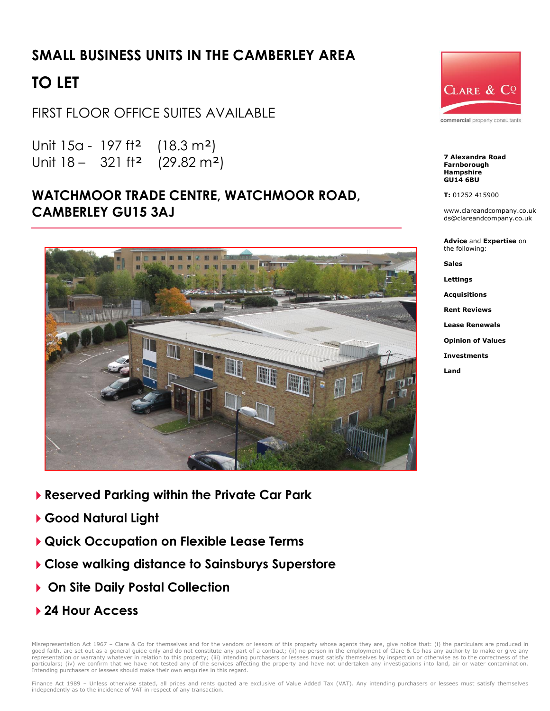## **SMALL BUSINESS UNITS IN THE CAMBERLEY AREA**

# **TO LET**

FIRST FLOOR OFFICE SUITES AVAILABLE

Unit 15a - 197 ft² (18.3 m²) Unit 18 – 321 ft² (29.82 m²)

### **WATCHMOOR TRADE CENTRE, WATCHMOOR ROAD, CAMBERLEY GU15 3AJ**



- **Reserved Parking within the Private Car Park**
- **Good Natural Light**
- **Quick Occupation on Flexible Lease Terms**
- **Close walking distance to Sainsburys Superstore**
- **On Site Daily Postal Collection**
- **24 Hour Access**

Misrepresentation Act 1967 - Clare & Co for themselves and for the vendors or lessors of this property whose agents they are, give notice that: (i) the particulars are produced in good faith, are set out as a general guide only and do not constitute any part of a contract; (ii) no person in the employment of Clare & Co has any authority to make or give any<br>representation or warranty whatever in rela Intending purchasers or lessees should make their own enquiries in this regard.



commercial property consultants

**7 Alexandra Road Farnborough Hampshire GU14 6BU**

**T:** 01252 415900

www.clareandcompany.co.uk ds@clareandcompany.co.uk

**Advice** and **Expertise** on the following:

**Sales**

**Lettings**

**Acquisitions**

**Rent Reviews**

**Lease Renewals**

**Opinion of Values**

**Investments**

**Land**

Finance Act 1989 - Unless otherwise stated, all prices and rents quoted are exclusive of Value Added Tax (VAT). Any intending purchasers or lessees must satisfy themselves independently as to the incidence of VAT in respect of any transaction.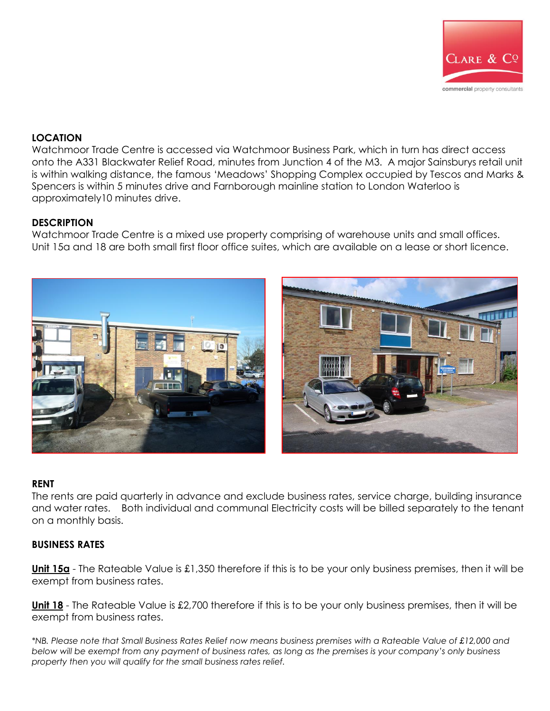

#### **LOCATION**

Watchmoor Trade Centre is accessed via Watchmoor Business Park, which in turn has direct access onto the A331 Blackwater Relief Road, minutes from Junction 4 of the M3. A major Sainsburys retail unit is within walking distance, the famous 'Meadows' Shopping Complex occupied by Tescos and Marks & Spencers is within 5 minutes drive and Farnborough mainline station to London Waterloo is approximately10 minutes drive.

#### **DESCRIPTION**

Watchmoor Trade Centre is a mixed use property comprising of warehouse units and small offices. Unit 15a and 18 are both small first floor office suites, which are available on a lease or short licence.



#### **RENT**

The rents are paid quarterly in advance and exclude business rates, service charge, building insurance and water rates. Both individual and communal Electricity costs will be billed separately to the tenant on a monthly basis.

#### **BUSINESS RATES**

**Unit 15a** - The Rateable Value is £1,350 therefore if this is to be your only business premises, then it will be exempt from business rates.

**Unit 18** - The Rateable Value is £2,700 therefore if this is to be your only business premises, then it will be exempt from business rates.

*\*NB. Please note that Small Business Rates Relief now means business premises with a Rateable Value of £12,000 and below will be exempt from any payment of business rates, as long as the premises is your company's only business property then you will qualify for the small business rates relief.*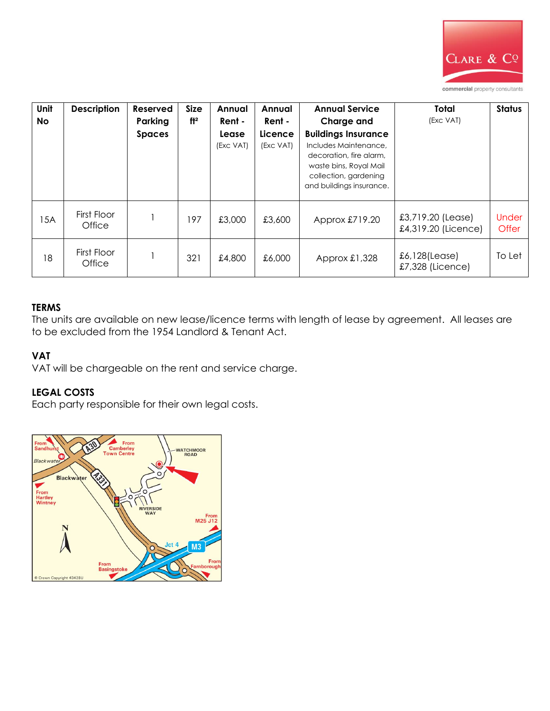

| Unit<br><b>No</b> | <b>Description</b>    | Reserved<br>Parking<br><b>Spaces</b> | <b>Size</b><br>ft <sup>2</sup> | Annual<br>Rent -<br>Lease<br>(Exc VAT) | Annual<br>Rent -<br>Licence<br>(Exc VAT) | <b>Annual Service</b><br>Charge and<br><b>Buildings Insurance</b><br>Includes Maintenance.<br>decoration, fire alarm,<br>waste bins, Royal Mail<br>collection, gardening<br>and buildings insurance. | <b>Total</b><br>(Exc VAT)                | <b>Status</b>         |
|-------------------|-----------------------|--------------------------------------|--------------------------------|----------------------------------------|------------------------------------------|------------------------------------------------------------------------------------------------------------------------------------------------------------------------------------------------------|------------------------------------------|-----------------------|
| 15A               | First Floor<br>Office |                                      | 197                            | £3,000                                 | £3,600                                   | Approx £719.20                                                                                                                                                                                       | £3,719.20 (Lease)<br>£4,319.20 (Licence) | <b>Under</b><br>Offer |
| 18                | First Floor<br>Office |                                      | 321                            | £4,800                                 | £6,000                                   | Approx $£1,328$                                                                                                                                                                                      | £6,128(Lease)<br>£7,328 (Licence)        | To Let                |

#### **TERMS**

The units are available on new lease/licence terms with length of lease by agreement. All leases are to be excluded from the 1954 Landlord & Tenant Act.

#### **VAT**

VAT will be chargeable on the rent and service charge.

#### **LEGAL COSTS**

Each party responsible for their own legal costs.